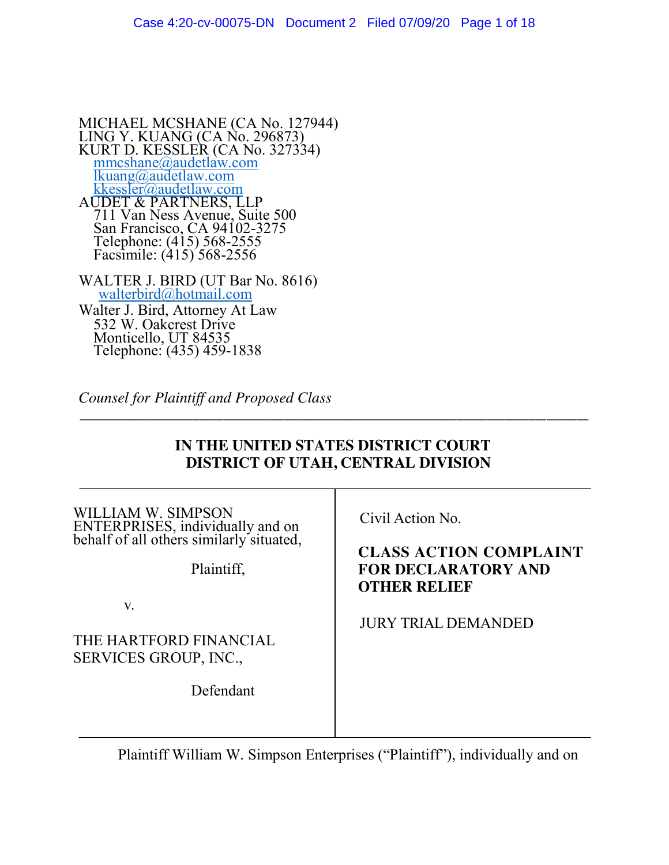MICHAEL MCSHANE (CA No. 127944)<br>LING Y. KUANG (CA No. 296873)<br>KURT D. KESSLER (CA No. 327334) mmcshane@audetlaw.com<br><u>[lkuang@audetlaw.com](mailto:lkuang@audetlaw.com)</u> [kkessler@audetlaw.com](mailto:kkessler@audetlaw.com)<br>AUDET & PARTNERS, LLP<br>711 Van Ness Avenue, Suite 500 San Francisco, CA 94102-3275 Telephone: (415) 568-2555 Facsimile: (415) 568-2556

WALTER J. BIRD (UT Bar No. 8616)<br>[walterbird@hotmail.com](mailto:walterbird@hotmail.com)

Walter J. Bird, Attorney At Law 532 W. Oakcrest Drive Monticello, UT 84535 Telephone: (435) 459-1838

*Counsel for Plaintiff and Proposed Class*

## **IN THE UNITED STATES DISTRICT COURT DISTRICT OF UTAH, CENTRAL DIVISION**

\_\_\_\_\_\_\_\_\_\_\_\_\_\_\_\_\_\_\_\_\_\_\_\_\_\_\_\_\_\_\_\_\_\_\_\_\_\_\_\_\_\_\_\_\_\_\_\_\_\_\_\_\_\_\_\_\_\_\_\_\_\_\_\_\_\_\_\_\_\_\_\_\_\_\_\_\_\_\_\_\_\_\_\_\_

| WILLIAM W. SIMPSON<br>ENTERPRISES, individually and on<br>behalf of all others similarly situated,<br>Plaintiff. | Civil Action No.<br><b>CLASS ACTION COMPLAINT</b><br><b>FOR DECLARATORY AND</b><br><b>OTHER RELIEF</b> |
|------------------------------------------------------------------------------------------------------------------|--------------------------------------------------------------------------------------------------------|
| V.<br>THE HARTFORD FINANCIAL<br>SERVICES GROUP, INC.,<br>Defendant                                               | <b>JURY TRIAL DEMANDED</b>                                                                             |

Plaintiff William W. Simpson Enterprises ("Plaintiff"), individually and on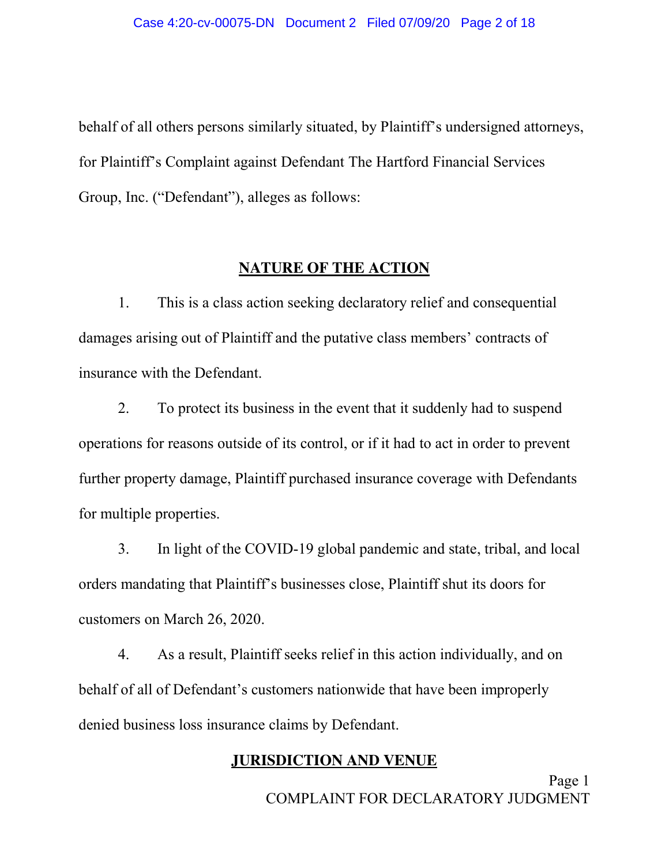behalf of all others persons similarly situated, by Plaintiff's undersigned attorneys, for Plaintiff's Complaint against Defendant The Hartford Financial Services Group, Inc. ("Defendant"), alleges as follows:

#### **NATURE OF THE ACTION**

1. This is a class action seeking declaratory relief and consequential damages arising out of Plaintiff and the putative class members' contracts of insurance with the Defendant.

2. To protect its business in the event that it suddenly had to suspend operations for reasons outside of its control, or if it had to act in order to prevent further property damage, Plaintiff purchased insurance coverage with Defendants for multiple properties.

3. In light of the COVID-19 global pandemic and state, tribal, and local orders mandating that Plaintiff's businesses close, Plaintiff shut its doors for customers on March 26, 2020.

4. As a result, Plaintiff seeks relief in this action individually, and on behalf of all of Defendant's customers nationwide that have been improperly denied business loss insurance claims by Defendant.

#### **JURISDICTION AND VENUE**

Page 1 COMPLAINT FOR DECLARATORY JUDGMENT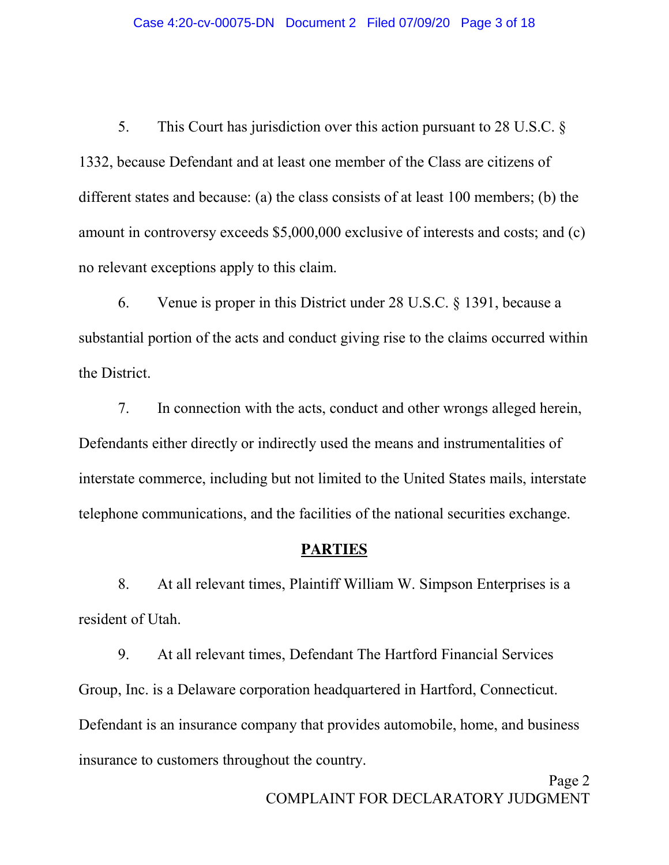5. This Court has jurisdiction over this action pursuant to 28 U.S.C. § 1332, because Defendant and at least one member of the Class are citizens of different states and because: (a) the class consists of at least 100 members; (b) the amount in controversy exceeds \$5,000,000 exclusive of interests and costs; and (c) no relevant exceptions apply to this claim.

6. Venue is proper in this District under 28 U.S.C. § 1391, because a substantial portion of the acts and conduct giving rise to the claims occurred within the District.

7. In connection with the acts, conduct and other wrongs alleged herein, Defendants either directly or indirectly used the means and instrumentalities of interstate commerce, including but not limited to the United States mails, interstate telephone communications, and the facilities of the national securities exchange.

#### **PARTIES**

8. At all relevant times, Plaintiff William W. Simpson Enterprises is a resident of Utah.

9. At all relevant times, Defendant The Hartford Financial Services Group, Inc. is a Delaware corporation headquartered in Hartford, Connecticut. Defendant is an insurance company that provides automobile, home, and business insurance to customers throughout the country.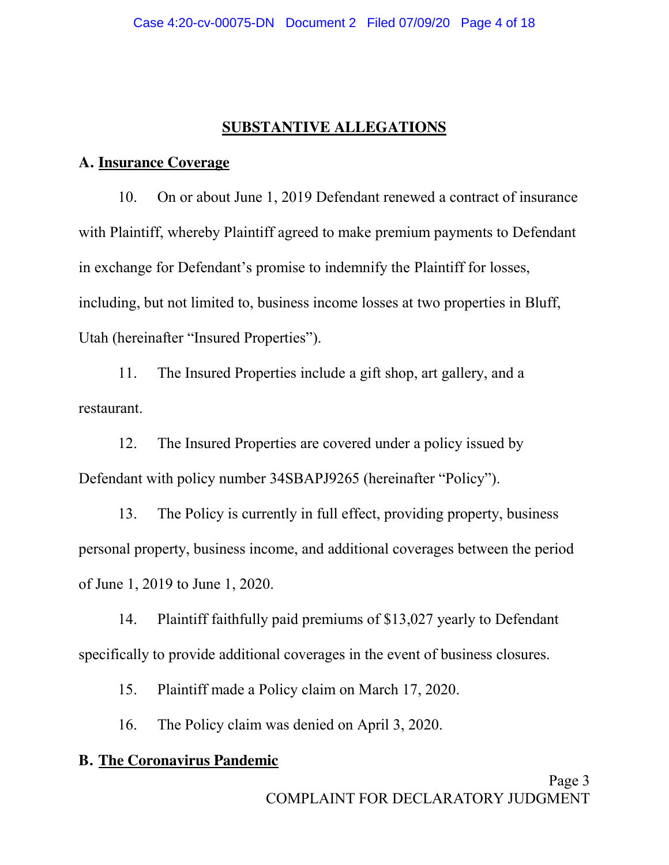#### **SUBSTANTIVE ALLEGATIONS**

#### **A. Insurance Coverage**

10. On or about June 1, 2019 Defendant renewed a contract of insurance with Plaintiff, whereby Plaintiff agreed to make premium payments to Defendant in exchange for Defendant's promise to indemnify the Plaintiff for losses, including, but not limited to, business income losses at two properties in Bluff, Utah (hereinafter "Insured Properties").

11. The Insured Properties include a gift shop, art gallery, and a restaurant.

12. The Insured Properties are covered under a policy issued by Defendant with policy number 34SBAPJ9265 (hereinafter "Policy").

13. The Policy is currently in full effect, providing property, business personal property, business income, and additional coverages between the period of June 1, 2019 to June 1, 2020.

14. Plaintiff faithfully paid premiums of \$13,027 yearly to Defendant specifically to provide additional coverages in the event of business closures.

15. Plaintiff made a Policy claim on March 17, 2020.

16. The Policy claim was denied on April 3, 2020.

#### **B. The Coronavirus Pandemic**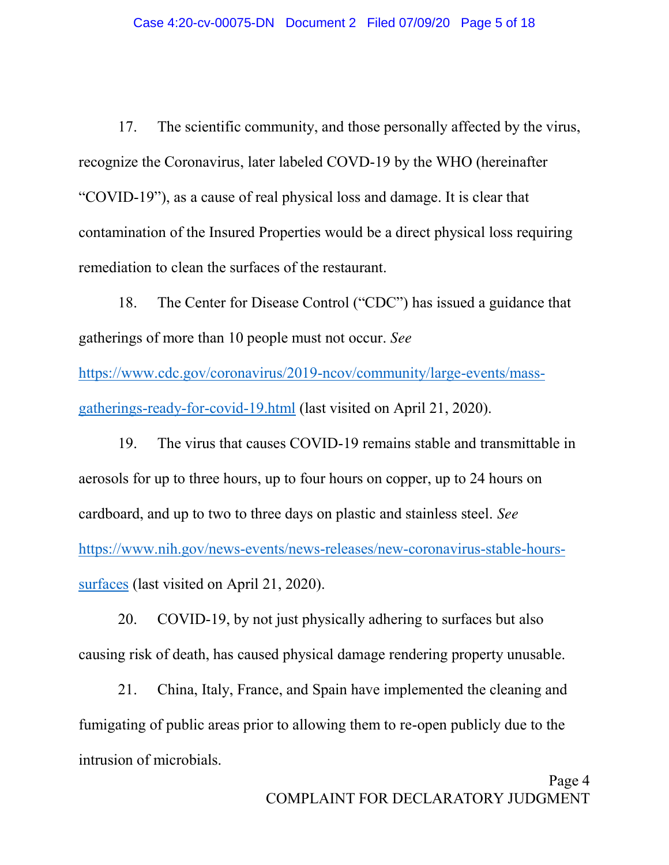17. The scientific community, and those personally affected by the virus, recognize the Coronavirus, later labeled COVD-19 by the WHO (hereinafter "COVID-19"), as a cause of real physical loss and damage. It is clear that contamination of the Insured Properties would be a direct physical loss requiring remediation to clean the surfaces of the restaurant.

18. The Center for Disease Control ("CDC") has issued a guidance that gatherings of more than 10 people must not occur. *See* 

[https://www.cdc.gov/coronavirus/2019-ncov/community/large-events/mass](https://www.cdc.gov/coronavirus/2019-ncov/community/large-events/mass-gatherings-ready-for-covid-19.html)[gatherings-ready-for-covid-19.html](https://www.cdc.gov/coronavirus/2019-ncov/community/large-events/mass-gatherings-ready-for-covid-19.html) (last visited on April 21, 2020).

19. The virus that causes COVID-19 remains stable and transmittable in aerosols for up to three hours, up to four hours on copper, up to 24 hours on cardboard, and up to two to three days on plastic and stainless steel. *See*  [https://www.nih.gov/news-events/news-releases/new-coronavirus-stable-hours](https://www.nih.gov/news-events/news-releases/new-coronavirus-stable-hours-surfaces)[surfaces](https://www.nih.gov/news-events/news-releases/new-coronavirus-stable-hours-surfaces) (last visited on April 21, 2020).

20. COVID-19, by not just physically adhering to surfaces but also causing risk of death, has caused physical damage rendering property unusable.

21. China, Italy, France, and Spain have implemented the cleaning and fumigating of public areas prior to allowing them to re-open publicly due to the intrusion of microbials.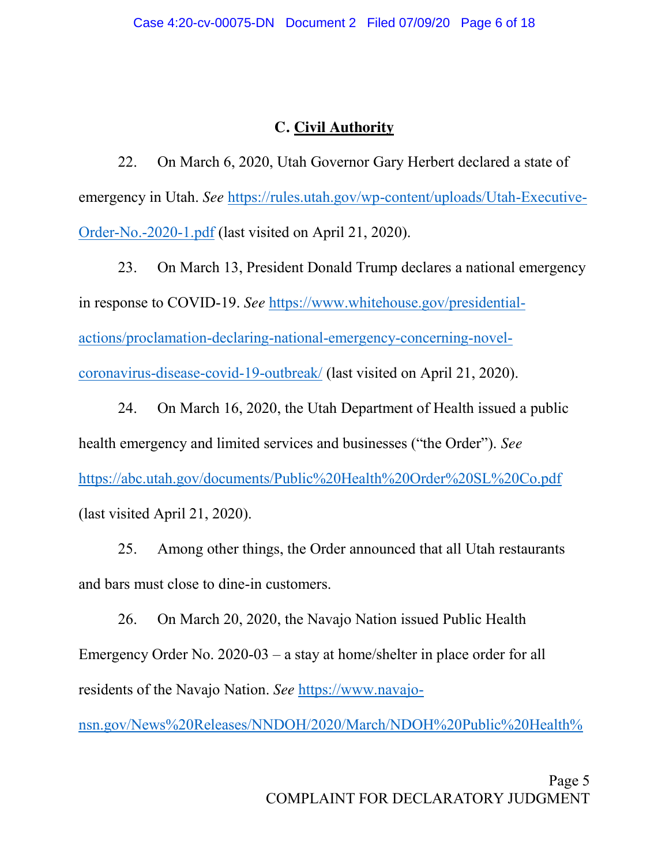# **C. Civil Authority**

22. On March 6, 2020, Utah Governor Gary Herbert declared a state of emergency in Utah. *See* [https://rules.utah.gov/wp-content/uploads/Utah-Executive-](https://rules.utah.gov/wp-content/uploads/Utah-Executive-Order-No.-2020-1.pdf)[Order-No.-2020-1.pdf](https://rules.utah.gov/wp-content/uploads/Utah-Executive-Order-No.-2020-1.pdf) (last visited on April 21, 2020).

23. On March 13, President Donald Trump declares a national emergency in response to COVID-19. *See* [https://www.whitehouse.gov/presidential](https://www.whitehouse.gov/presidential-actions/proclamation-declaring-national-emergency-concerning-novel-coronavirus-disease-covid-19-outbreak/)[actions/proclamation-declaring-national-emergency-concerning-novel](https://www.whitehouse.gov/presidential-actions/proclamation-declaring-national-emergency-concerning-novel-coronavirus-disease-covid-19-outbreak/)[coronavirus-disease-covid-19-outbreak/](https://www.whitehouse.gov/presidential-actions/proclamation-declaring-national-emergency-concerning-novel-coronavirus-disease-covid-19-outbreak/) (last visited on April 21, 2020).

24. On March 16, 2020, the Utah Department of Health issued a public health emergency and limited services and businesses ("the Order"). *See*  <https://abc.utah.gov/documents/Public%20Health%20Order%20SL%20Co.pdf> (last visited April 21, 2020).

25. Among other things, the Order announced that all Utah restaurants and bars must close to dine-in customers.

26. On March 20, 2020, the Navajo Nation issued Public Health Emergency Order No. 2020-03 – a stay at home/shelter in place order for all residents of the Navajo Nation. *See* [https://www.navajo-](https://www.navajo-nsn.gov/News%20Releases/NNDOH/2020/March/NDOH%20Public%20Health%20Emergency%20Order%202020-003%20Dikos%20Ntsaaigii-19.pdf)

[nsn.gov/News%20Releases/NNDOH/2020/March/NDOH%20Public%20Health%](https://www.navajo-nsn.gov/News%20Releases/NNDOH/2020/March/NDOH%20Public%20Health%20Emergency%20Order%202020-003%20Dikos%20Ntsaaigii-19.pdf)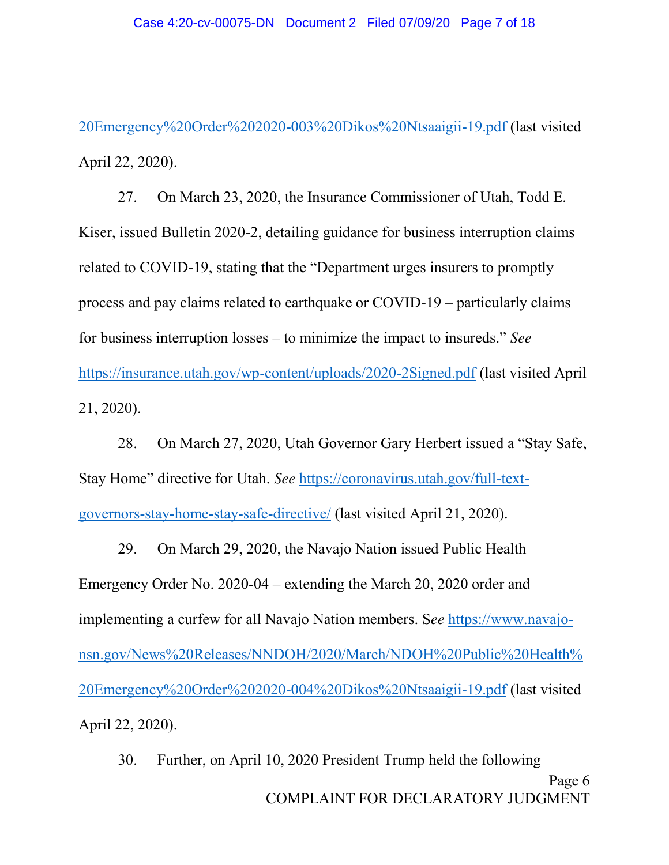20Emergency%20Order%202020-003%20Dikos%20Ntsaaigii-19.pdf (last visited April 22, 2020).

27. On March 23, 2020, the Insurance Commissioner of Utah, Todd E. Kiser, issued Bulletin 2020-2, detailing guidance for business interruption claims related to COVID-19, stating that the "Department urges insurers to promptly process and pay claims related to earthquake or COVID-19 – particularly claims for business interruption losses – to minimize the impact to insureds." *See*  <https://insurance.utah.gov/wp-content/uploads/2020-2Signed.pdf> (last visited April 21, 2020).

28. On March 27, 2020, Utah Governor Gary Herbert issued a "Stay Safe, Stay Home" directive for Utah. *See* [https://coronavirus.utah.gov/full-text](https://coronavirus.utah.gov/full-text-governors-stay-home-stay-safe-directive/)[governors-stay-home-stay-safe-directive/](https://coronavirus.utah.gov/full-text-governors-stay-home-stay-safe-directive/) (last visited April 21, 2020).

29. On March 29, 2020, the Navajo Nation issued Public Health Emergency Order No. 2020-04 – extending the March 20, 2020 order and implementing a curfew for all Navajo Nation members. S*ee* [https://www.navajo](https://www.navajo-nsn.gov/News%20Releases/NNDOH/2020/March/NDOH%20Public%20Health%20Emergency%20Order%202020-004%20Dikos%20Ntsaaigii-19.pdf)[nsn.gov/News%20Releases/NNDOH/2020/March/NDOH%20Public%20Health%](https://www.navajo-nsn.gov/News%20Releases/NNDOH/2020/March/NDOH%20Public%20Health%20Emergency%20Order%202020-004%20Dikos%20Ntsaaigii-19.pdf) [20Emergency%20Order%202020-004%20Dikos%20Ntsaaigii-19.pdf](https://www.navajo-nsn.gov/News%20Releases/NNDOH/2020/March/NDOH%20Public%20Health%20Emergency%20Order%202020-004%20Dikos%20Ntsaaigii-19.pdf) (last visited April 22, 2020).

Page 6 COMPLAINT FOR DECLARATORY JUDGMENT 30. Further, on April 10, 2020 President Trump held the following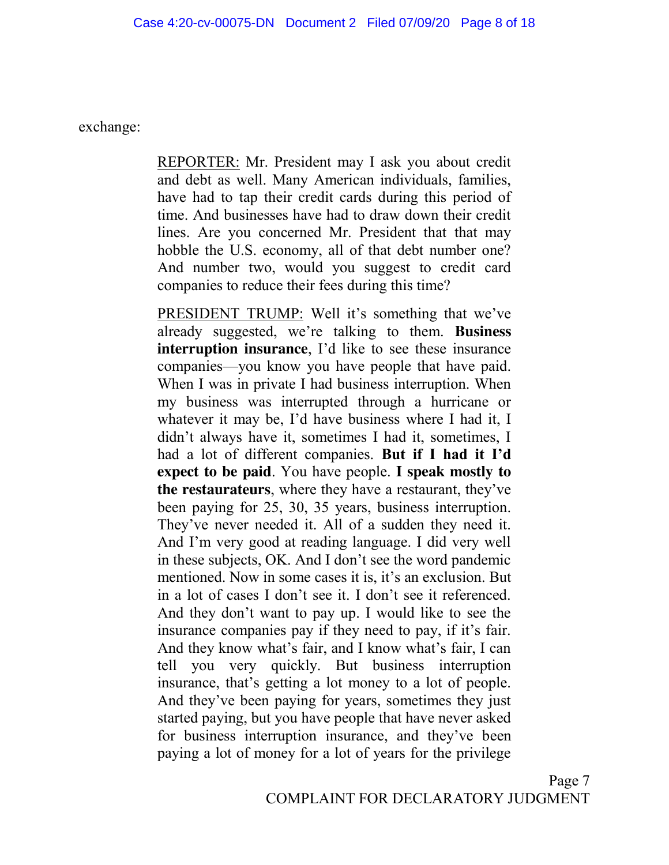exchange:

REPORTER: Mr. President may I ask you about credit and debt as well. Many American individuals, families, have had to tap their credit cards during this period of time. And businesses have had to draw down their credit lines. Are you concerned Mr. President that that may hobble the U.S. economy, all of that debt number one? And number two, would you suggest to credit card companies to reduce their fees during this time?

PRESIDENT TRUMP: Well it's something that we've already suggested, we're talking to them. **Business interruption insurance**, I'd like to see these insurance companies—you know you have people that have paid. When I was in private I had business interruption. When my business was interrupted through a hurricane or whatever it may be, I'd have business where I had it, I didn't always have it, sometimes I had it, sometimes, I had a lot of different companies. **But if I had it I'd expect to be paid**. You have people. **I speak mostly to the restaurateurs**, where they have a restaurant, they've been paying for 25, 30, 35 years, business interruption. They've never needed it. All of a sudden they need it. And I'm very good at reading language. I did very well in these subjects, OK. And I don't see the word pandemic mentioned. Now in some cases it is, it's an exclusion. But in a lot of cases I don't see it. I don't see it referenced. And they don't want to pay up. I would like to see the insurance companies pay if they need to pay, if it's fair. And they know what's fair, and I know what's fair, I can tell you very quickly. But business interruption insurance, that's getting a lot money to a lot of people. And they've been paying for years, sometimes they just started paying, but you have people that have never asked for business interruption insurance, and they've been paying a lot of money for a lot of years for the privilege

Page 7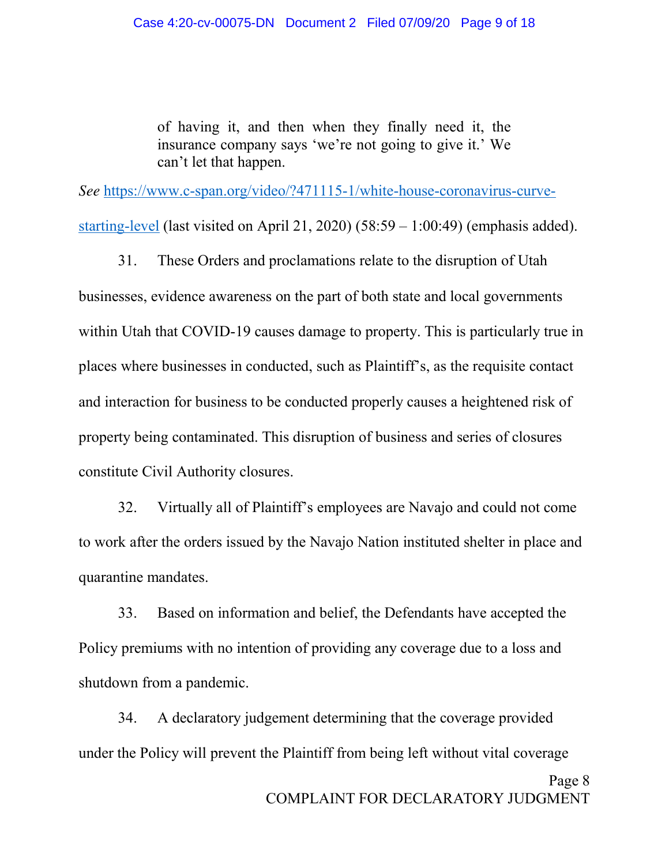of having it, and then when they finally need it, the insurance company says 'we're not going to give it.' We can't let that happen.

*See* [https://www.c-span.org/video/?471115-1/white-house-coronavirus-curve-](https://www.c-span.org/video/?471115-1/white-house-coronavirus-curve-starting-level)

[starting-level](https://www.c-span.org/video/?471115-1/white-house-coronavirus-curve-starting-level) (last visited on April 21, 2020) (58:59 – 1:00:49) (emphasis added).

31. These Orders and proclamations relate to the disruption of Utah businesses, evidence awareness on the part of both state and local governments within Utah that COVID-19 causes damage to property. This is particularly true in places where businesses in conducted, such as Plaintiff's, as the requisite contact and interaction for business to be conducted properly causes a heightened risk of property being contaminated. This disruption of business and series of closures constitute Civil Authority closures.

32. Virtually all of Plaintiff's employees are Navajo and could not come to work after the orders issued by the Navajo Nation instituted shelter in place and quarantine mandates.

33. Based on information and belief, the Defendants have accepted the Policy premiums with no intention of providing any coverage due to a loss and shutdown from a pandemic.

34. A declaratory judgement determining that the coverage provided under the Policy will prevent the Plaintiff from being left without vital coverage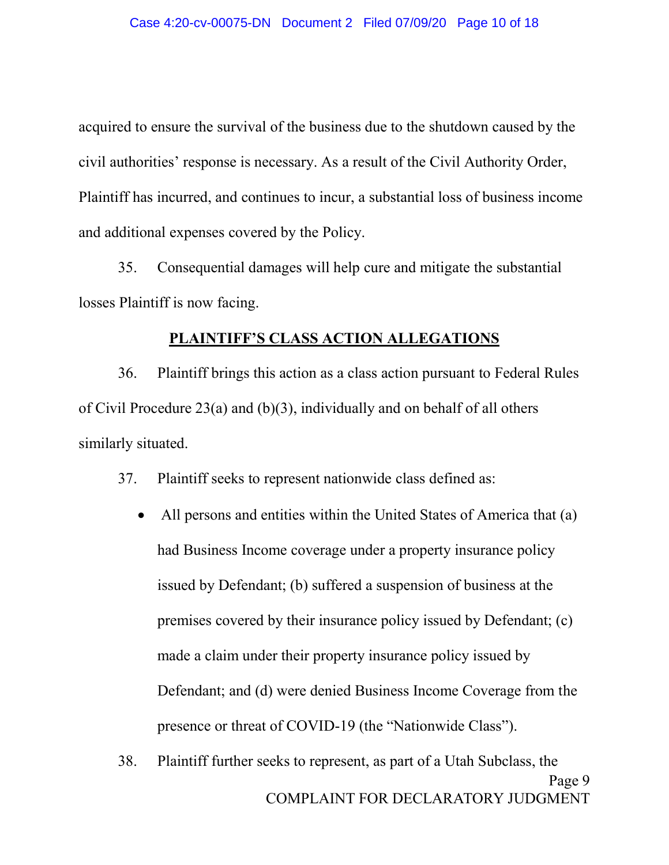acquired to ensure the survival of the business due to the shutdown caused by the civil authorities' response is necessary. As a result of the Civil Authority Order, Plaintiff has incurred, and continues to incur, a substantial loss of business income and additional expenses covered by the Policy.

35. Consequential damages will help cure and mitigate the substantial losses Plaintiff is now facing.

#### **PLAINTIFF'S CLASS ACTION ALLEGATIONS**

36. Plaintiff brings this action as a class action pursuant to Federal Rules of Civil Procedure 23(a) and (b)(3), individually and on behalf of all others similarly situated.

37. Plaintiff seeks to represent nationwide class defined as:

- $\bullet$  All persons and entities within the United States of America that (a) had Business Income coverage under a property insurance policy issued by Defendant; (b) suffered a suspension of business at the premises covered by their insurance policy issued by Defendant; (c) made a claim under their property insurance policy issued by Defendant; and (d) were denied Business Income Coverage from the presence or threat of COVID-19 (the "Nationwide Class").
- Page 9 COMPLAINT FOR DECLARATORY JUDGMENT 38. Plaintiff further seeks to represent, as part of a Utah Subclass, the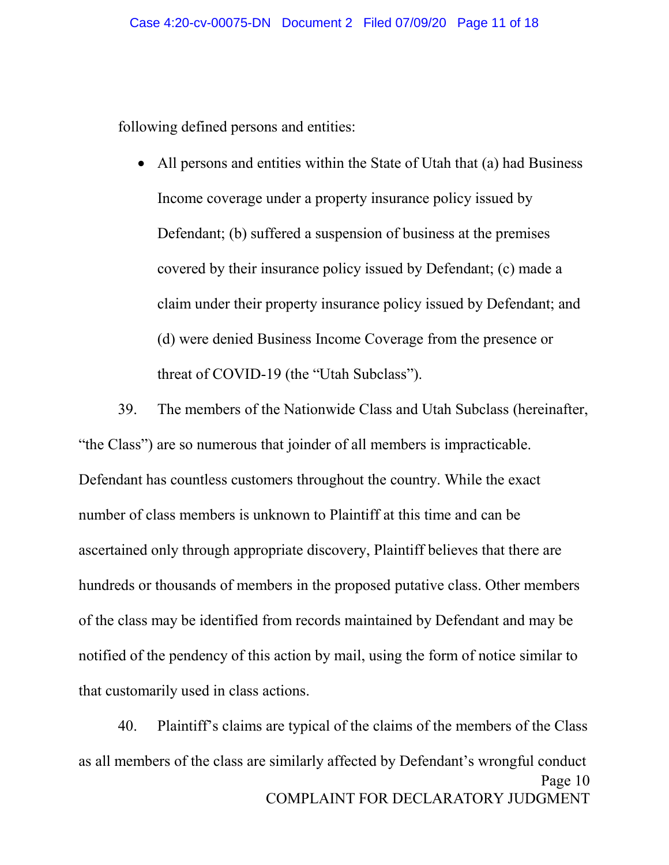following defined persons and entities:

• All persons and entities within the State of Utah that (a) had Business Income coverage under a property insurance policy issued by Defendant; (b) suffered a suspension of business at the premises covered by their insurance policy issued by Defendant; (c) made a claim under their property insurance policy issued by Defendant; and (d) were denied Business Income Coverage from the presence or threat of COVID-19 (the "Utah Subclass").

39. The members of the Nationwide Class and Utah Subclass (hereinafter, "the Class") are so numerous that joinder of all members is impracticable. Defendant has countless customers throughout the country. While the exact number of class members is unknown to Plaintiff at this time and can be ascertained only through appropriate discovery, Plaintiff believes that there are hundreds or thousands of members in the proposed putative class. Other members of the class may be identified from records maintained by Defendant and may be notified of the pendency of this action by mail, using the form of notice similar to that customarily used in class actions.

Page 10 COMPLAINT FOR DECLARATORY JUDGMENT 40. Plaintiff's claims are typical of the claims of the members of the Class as all members of the class are similarly affected by Defendant's wrongful conduct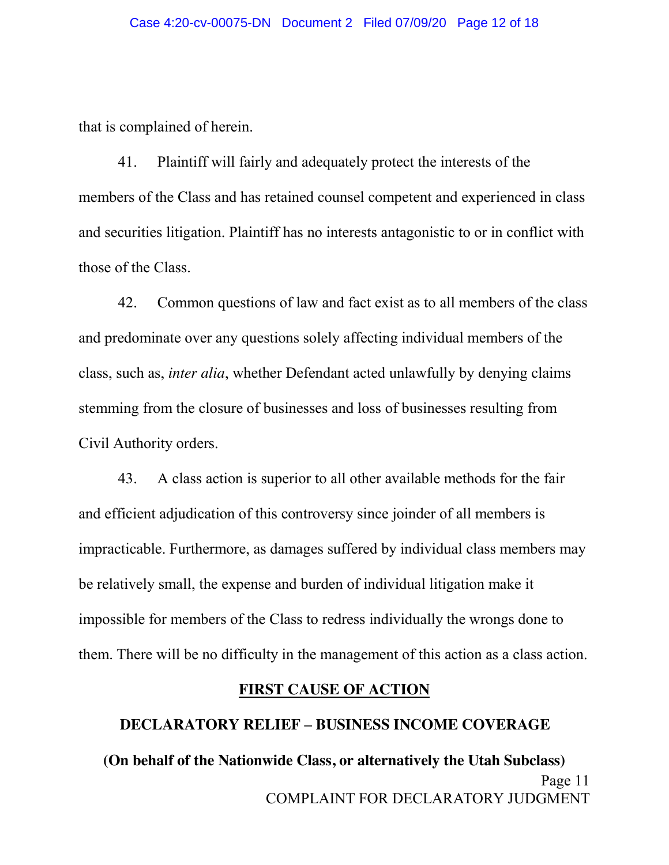that is complained of herein.

41. Plaintiff will fairly and adequately protect the interests of the members of the Class and has retained counsel competent and experienced in class and securities litigation. Plaintiff has no interests antagonistic to or in conflict with those of the Class.

42. Common questions of law and fact exist as to all members of the class and predominate over any questions solely affecting individual members of the class, such as, *inter alia*, whether Defendant acted unlawfully by denying claims stemming from the closure of businesses and loss of businesses resulting from Civil Authority orders.

43. A class action is superior to all other available methods for the fair and efficient adjudication of this controversy since joinder of all members is impracticable. Furthermore, as damages suffered by individual class members may be relatively small, the expense and burden of individual litigation make it impossible for members of the Class to redress individually the wrongs done to them. There will be no difficulty in the management of this action as a class action.

#### **FIRST CAUSE OF ACTION**

# Page 11 COMPLAINT FOR DECLARATORY JUDGMENT **DECLARATORY RELIEF – BUSINESS INCOME COVERAGE (On behalf of the Nationwide Class, or alternatively the Utah Subclass)**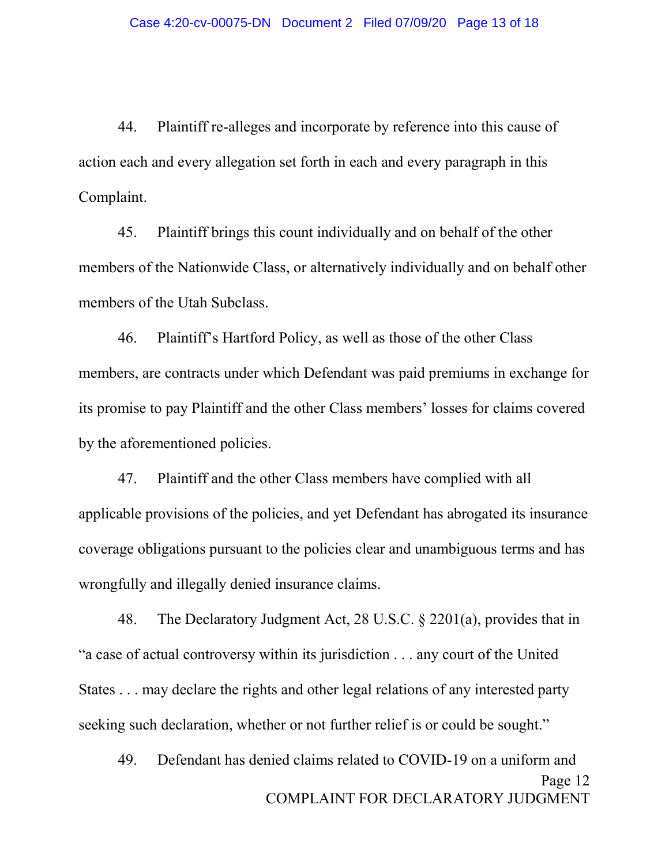44. Plaintiff re-alleges and incorporate by reference into this cause of action each and every allegation set forth in each and every paragraph in this Complaint.

45. Plaintiff brings this count individually and on behalf of the other members of the Nationwide Class, or alternatively individually and on behalf other members of the Utah Subclass.

46. Plaintiff's Hartford Policy, as well as those of the other Class members, are contracts under which Defendant was paid premiums in exchange for its promise to pay Plaintiff and the other Class members' losses for claims covered by the aforementioned policies.

47. Plaintiff and the other Class members have complied with all applicable provisions of the policies, and yet Defendant has abrogated its insurance coverage obligations pursuant to the policies clear and unambiguous terms and has wrongfully and illegally denied insurance claims.

48. The Declaratory Judgment Act, 28 U.S.C. § 2201(a), provides that in "a case of actual controversy within its jurisdiction . . . any court of the United States . . . may declare the rights and other legal relations of any interested party seeking such declaration, whether or not further relief is or could be sought."

Page 12 COMPLAINT FOR DECLARATORY JUDGMENT 49. Defendant has denied claims related to COVID-19 on a uniform and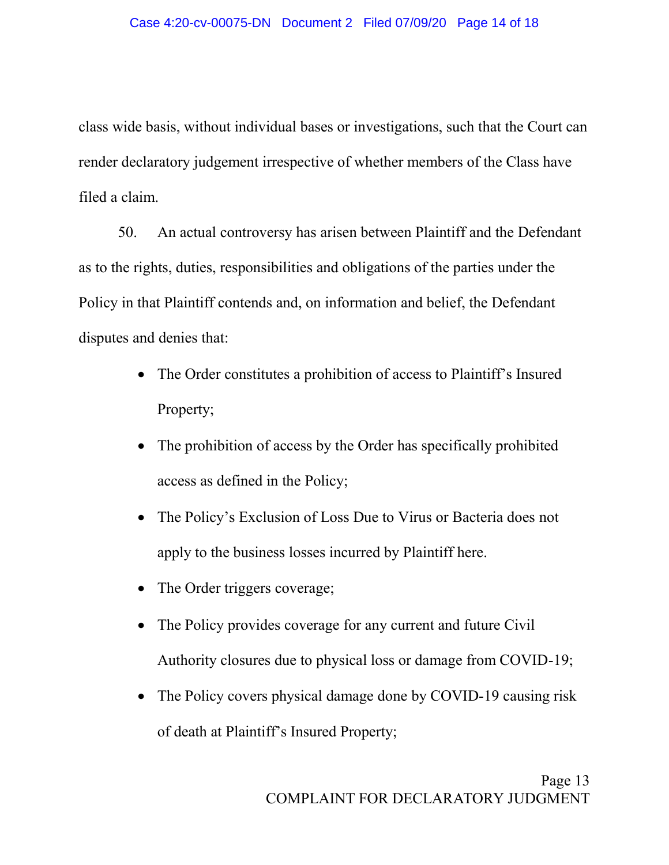class wide basis, without individual bases or investigations, such that the Court can render declaratory judgement irrespective of whether members of the Class have filed a claim.

50. An actual controversy has arisen between Plaintiff and the Defendant as to the rights, duties, responsibilities and obligations of the parties under the Policy in that Plaintiff contends and, on information and belief, the Defendant disputes and denies that:

- The Order constitutes a prohibition of access to Plaintiff's Insured Property;
- $\bullet$  The prohibition of access by the Order has specifically prohibited access as defined in the Policy;
- The Policy's Exclusion of Loss Due to Virus or Bacteria does not apply to the business losses incurred by Plaintiff here.
- $\bullet$  The Order triggers coverage;
- The Policy provides coverage for any current and future Civil Authority closures due to physical loss or damage from COVID-19;
- The Policy covers physical damage done by COVID-19 causing risk of death at Plaintiff's Insured Property;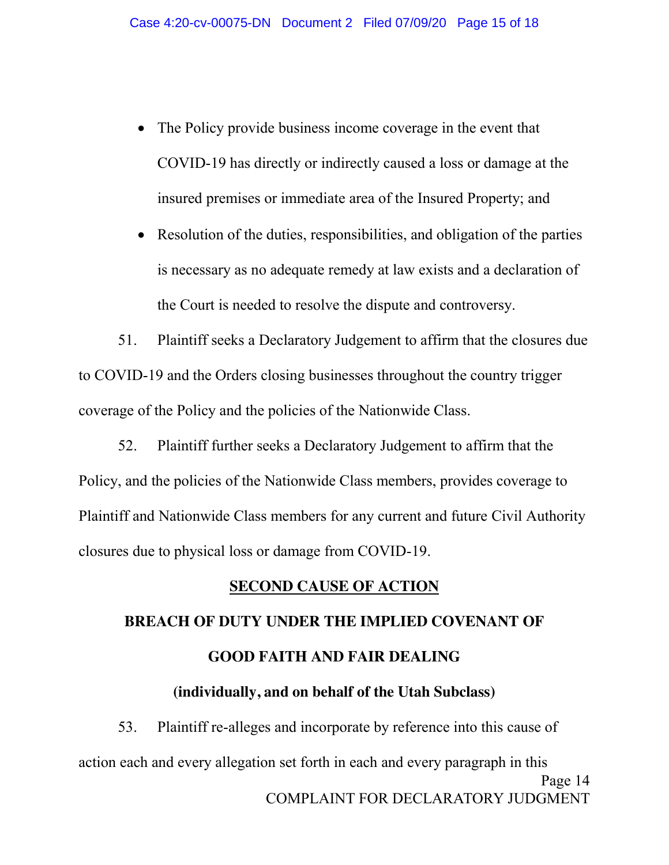- The Policy provide business income coverage in the event that COVID-19 has directly or indirectly caused a loss or damage at the insured premises or immediate area of the Insured Property; and
- $\bullet$  Resolution of the duties, responsibilities, and obligation of the parties is necessary as no adequate remedy at law exists and a declaration of the Court is needed to resolve the dispute and controversy.

51. Plaintiff seeks a Declaratory Judgement to affirm that the closures due to COVID-19 and the Orders closing businesses throughout the country trigger coverage of the Policy and the policies of the Nationwide Class.

52. Plaintiff further seeks a Declaratory Judgement to affirm that the Policy, and the policies of the Nationwide Class members, provides coverage to Plaintiff and Nationwide Class members for any current and future Civil Authority closures due to physical loss or damage from COVID-19.

#### **SECOND CAUSE OF ACTION**

# **BREACH OF DUTY UNDER THE IMPLIED COVENANT OF GOOD FAITH AND FAIR DEALING**

### **(individually, and on behalf of the Utah Subclass)**

Page 14 COMPLAINT FOR DECLARATORY JUDGMENT 53. Plaintiff re-alleges and incorporate by reference into this cause of action each and every allegation set forth in each and every paragraph in this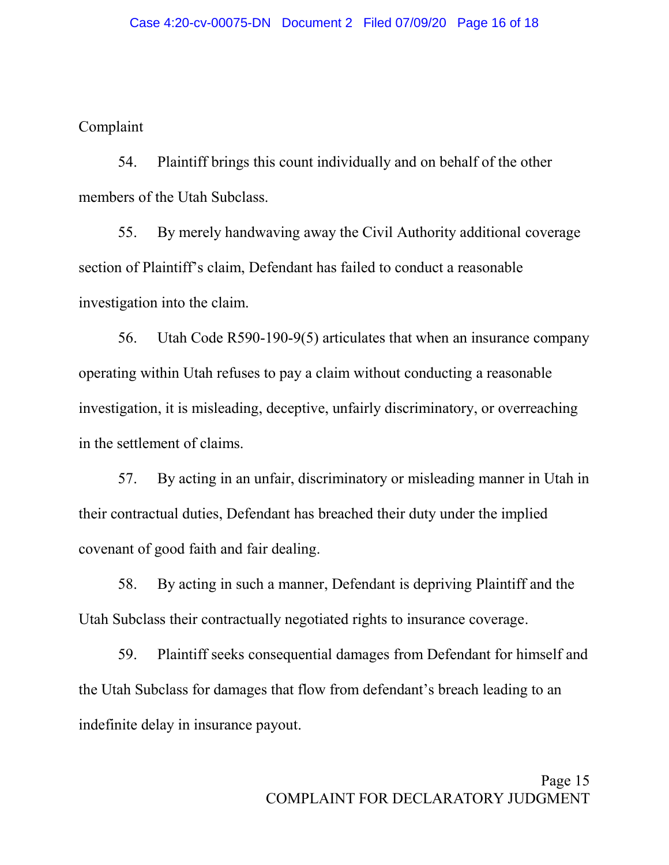#### Complaint

54. Plaintiff brings this count individually and on behalf of the other members of the Utah Subclass.

55. By merely handwaving away the Civil Authority additional coverage section of Plaintiff's claim, Defendant has failed to conduct a reasonable investigation into the claim.

56. Utah Code R590-190-9(5) articulates that when an insurance company operating within Utah refuses to pay a claim without conducting a reasonable investigation, it is misleading, deceptive, unfairly discriminatory, or overreaching in the settlement of claims.

57. By acting in an unfair, discriminatory or misleading manner in Utah in their contractual duties, Defendant has breached their duty under the implied covenant of good faith and fair dealing.

58. By acting in such a manner, Defendant is depriving Plaintiff and the Utah Subclass their contractually negotiated rights to insurance coverage.

59. Plaintiff seeks consequential damages from Defendant for himself and the Utah Subclass for damages that flow from defendant's breach leading to an indefinite delay in insurance payout.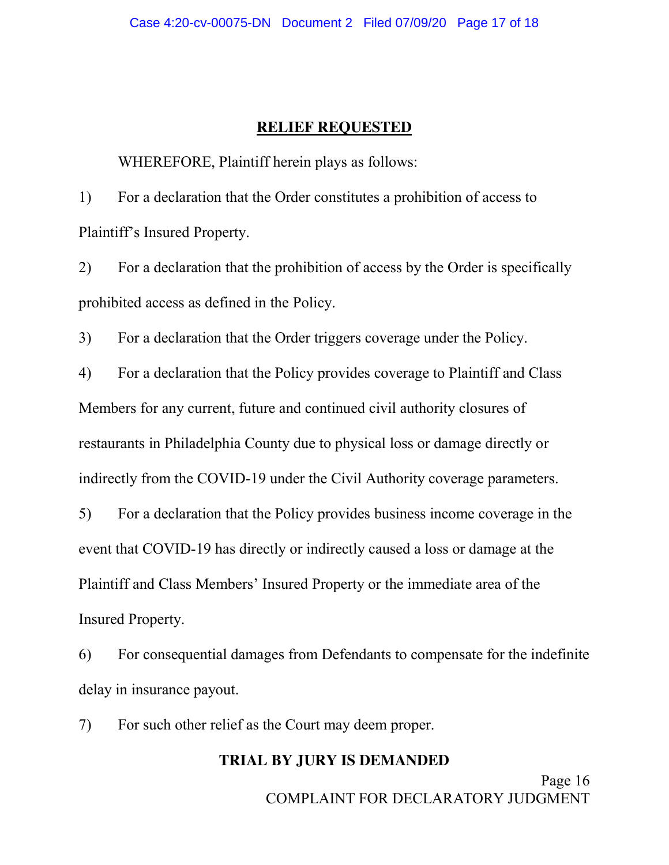#### **RELIEF REQUESTED**

WHEREFORE, Plaintiff herein plays as follows:

1) For a declaration that the Order constitutes a prohibition of access to Plaintiff's Insured Property.

2) For a declaration that the prohibition of access by the Order is specifically prohibited access as defined in the Policy.

3) For a declaration that the Order triggers coverage under the Policy.

4) For a declaration that the Policy provides coverage to Plaintiff and Class Members for any current, future and continued civil authority closures of restaurants in Philadelphia County due to physical loss or damage directly or indirectly from the COVID-19 under the Civil Authority coverage parameters.

5) For a declaration that the Policy provides business income coverage in the event that COVID-19 has directly or indirectly caused a loss or damage at the Plaintiff and Class Members' Insured Property or the immediate area of the Insured Property.

6) For consequential damages from Defendants to compensate for the indefinite delay in insurance payout.

7) For such other relief as the Court may deem proper.

#### **TRIAL BY JURY IS DEMANDED**

Page 16 COMPLAINT FOR DECLARATORY JUDGMENT